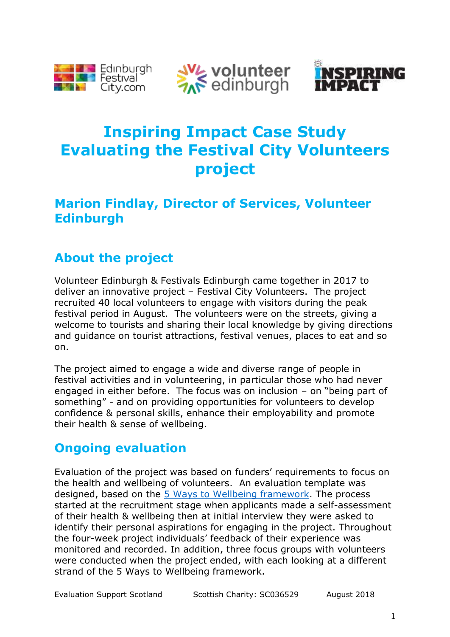





# **Inspiring Impact Case Study Evaluating the Festival City Volunteers project**

#### **Marion Findlay, Director of Services, Volunteer Edinburgh**

## **About the project**

Volunteer Edinburgh & Festivals Edinburgh came together in 2017 to deliver an innovative project – Festival City Volunteers. The project recruited 40 local volunteers to engage with visitors during the peak festival period in August. The volunteers were on the streets, giving a welcome to tourists and sharing their local knowledge by giving directions and guidance on tourist attractions, festival venues, places to eat and so on.

The project aimed to engage a wide and diverse range of people in festival activities and in volunteering, in particular those who had never engaged in either before. The focus was on inclusion – on "being part of something" - and on providing opportunities for volunteers to develop confidence & personal skills, enhance their employability and promote their health & sense of wellbeing.

## **Ongoing evaluation**

Evaluation of the project was based on funders' requirements to focus on the health and wellbeing of volunteers. An evaluation template was designed, based on the [5 Ways to Wellbeing framework.](https://issuu.com/neweconomicsfoundation/docs/five_ways_to_well-being?viewMode=presentation) The process started at the recruitment stage when applicants made a self-assessment of their health & wellbeing then at initial interview they were asked to identify their personal aspirations for engaging in the project. Throughout the four-week project individuals' feedback of their experience was monitored and recorded. In addition, three focus groups with volunteers were conducted when the project ended, with each looking at a different strand of the 5 Ways to Wellbeing framework.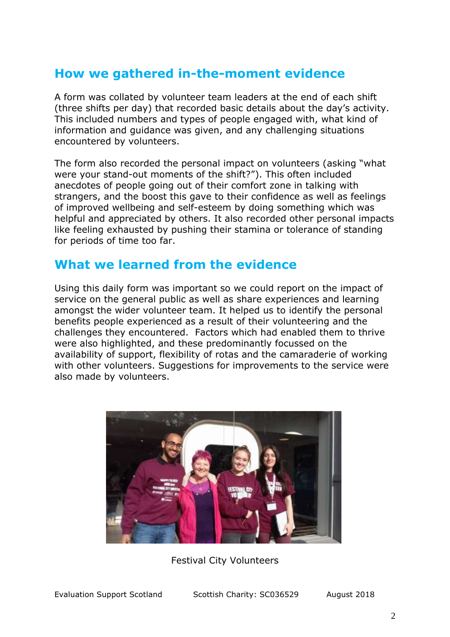### **How we gathered in-the-moment evidence**

A form was collated by volunteer team leaders at the end of each shift (three shifts per day) that recorded basic details about the day's activity. This included numbers and types of people engaged with, what kind of information and guidance was given, and any challenging situations encountered by volunteers.

The form also recorded the personal impact on volunteers (asking "what were your stand-out moments of the shift?"). This often included anecdotes of people going out of their comfort zone in talking with strangers, and the boost this gave to their confidence as well as feelings of improved wellbeing and self-esteem by doing something which was helpful and appreciated by others. It also recorded other personal impacts like feeling exhausted by pushing their stamina or tolerance of standing for periods of time too far.

#### **What we learned from the evidence**

Using this daily form was important so we could report on the impact of service on the general public as well as share experiences and learning amongst the wider volunteer team. It helped us to identify the personal benefits people experienced as a result of their volunteering and the challenges they encountered. Factors which had enabled them to thrive were also highlighted, and these predominantly focussed on the availability of support, flexibility of rotas and the camaraderie of working with other volunteers. Suggestions for improvements to the service were also made by volunteers.



Festival City Volunteers